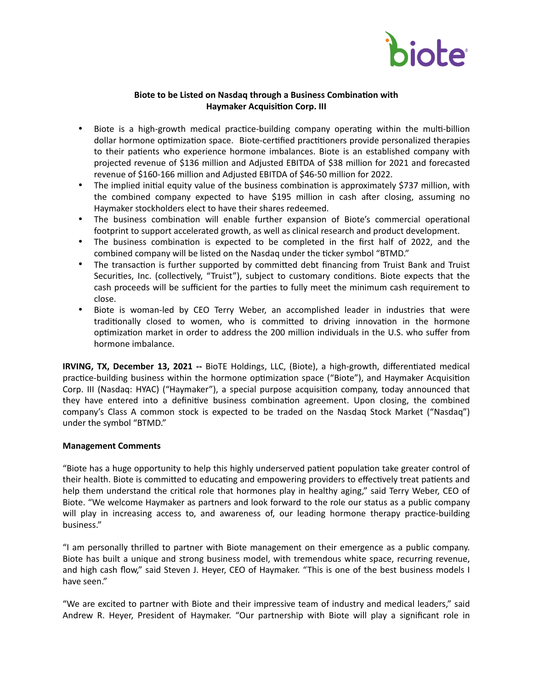

## **Biote to be Listed on Nasdaq through a Business Combination with Haymaker Acquisition Corp. III**

- Biote is a high-growth medical practice-building company operating within the multi-billion dollar hormone optimization space. Biote-certified practitioners provide personalized therapies to their patients who experience hormone imbalances. Biote is an established company with projected revenue of \$136 million and Adjusted EBITDA of \$38 million for 2021 and forecasted revenue of \$160-166 million and Adjusted EBITDA of \$46-50 million for 2022.
- The implied initial equity value of the business combination is approximately \$737 million, with the combined company expected to have \$195 million in cash after closing, assuming no Haymaker stockholders elect to have their shares redeemed.
- The business combination will enable further expansion of Biote's commercial operational footprint to support accelerated growth, as well as clinical research and product development.
- The business combination is expected to be completed in the first half of 2022, and the combined company will be listed on the Nasdaq under the ticker symbol "BTMD."
- The transaction is further supported by committed debt financing from Truist Bank and Truist Securities, Inc. (collectively, "Truist"), subject to customary conditions. Biote expects that the cash proceeds will be sufficient for the parties to fully meet the minimum cash requirement to close.
- Biote is woman-led by CEO Terry Weber, an accomplished leader in industries that were traditionally closed to women, who is committed to driving innovation in the hormone optimization market in order to address the 200 million individuals in the U.S. who suffer from hormone imbalance.

**IRVING, TX, December 13, 2021 --** BioTE Holdings, LLC, (Biote), a high-growth, differentiated medical practice-building business within the hormone optimization space ("Biote"), and Haymaker Acquisition Corp. III (Nasdaq: HYAC) ("Haymaker"), a special purpose acquisition company, today announced that they have entered into a definitive business combination agreement. Upon closing, the combined company's Class A common stock is expected to be traded on the Nasdaq Stock Market ("Nasdaq") under the symbol "BTMD."

# **Management Comments**

"Biote has a huge opportunity to help this highly underserved patient population take greater control of their health. Biote is committed to educating and empowering providers to effectively treat patients and help them understand the critical role that hormones play in healthy aging," said Terry Weber, CEO of Biote. "We welcome Haymaker as partners and look forward to the role our status as a public company will play in increasing access to, and awareness of, our leading hormone therapy practice-building business."

"I am personally thrilled to partner with Biote management on their emergence as a public company. Biote has built a unique and strong business model, with tremendous white space, recurring revenue, and high cash flow," said Steven J. Heyer, CEO of Haymaker. "This is one of the best business models I have seen."

"We are excited to partner with Biote and their impressive team of industry and medical leaders," said Andrew R. Heyer, President of Haymaker. "Our partnership with Biote will play a significant role in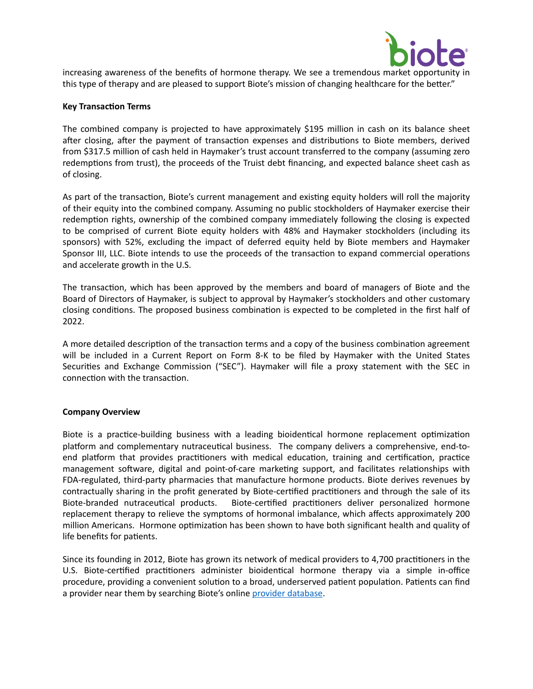

increasing awareness of the benefits of hormone therapy. We see a tremendous market opportunity in this type of therapy and are pleased to support Biote's mission of changing healthcare for the better."

#### **Key Transaction Terms**

The combined company is projected to have approximately \$195 million in cash on its balance sheet after closing, after the payment of transaction expenses and distributions to Biote members, derived from \$317.5 million of cash held in Haymaker's trust account transferred to the company (assuming zero redemptions from trust), the proceeds of the Truist debt financing, and expected balance sheet cash as of closing.

As part of the transaction, Biote's current management and existing equity holders will roll the majority of their equity into the combined company. Assuming no public stockholders of Haymaker exercise their redemption rights, ownership of the combined company immediately following the closing is expected to be comprised of current Biote equity holders with 48% and Haymaker stockholders (including its sponsors) with 52%, excluding the impact of deferred equity held by Biote members and Haymaker Sponsor III, LLC. Biote intends to use the proceeds of the transaction to expand commercial operations and accelerate growth in the U.S.

The transaction, which has been approved by the members and board of managers of Biote and the Board of Directors of Haymaker, is subject to approval by Haymaker's stockholders and other customary closing conditions. The proposed business combination is expected to be completed in the first half of 2022.

A more detailed description of the transaction terms and a copy of the business combination agreement will be included in a Current Report on Form 8-K to be filed by Haymaker with the United States Securities and Exchange Commission ("SEC"). Haymaker will file a proxy statement with the SEC in connection with the transaction.

# **Company Overview**

Biote is a practice-building business with a leading bioidentical hormone replacement optimization platform and complementary nutraceutical business. The company delivers a comprehensive, end-toend platform that provides practitioners with medical education, training and certification, practice management software, digital and point-of-care marketing support, and facilitates relationships with FDA-regulated, third-party pharmacies that manufacture hormone products. Biote derives revenues by contractually sharing in the profit generated by Biote-certified practitioners and through the sale of its Biote-branded nutraceutical products. Biote-certified practitioners deliver personalized hormone replacement therapy to relieve the symptoms of hormonal imbalance, which affects approximately 200 million Americans. Hormone optimization has been shown to have both significant health and quality of life benefits for patients.

Since its founding in 2012, Biote has grown its network of medical providers to 4,700 practitioners in the U.S. Biote-certified practitioners administer bioidentical hormone therapy via a simple in-office procedure, providing a convenient solution to a broad, underserved patient population. Patients can find a provider near them by searching Biote's online [provider database.](https://biote.com/find-bioidentical-hormone-replacement-therapy-provider/)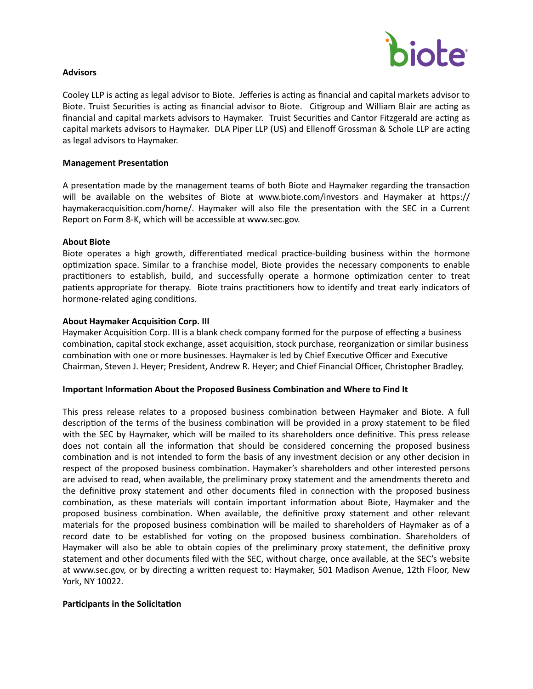

## **Advisors**

Cooley LLP is acting as legal advisor to Biote. Jefferies is acting as financial and capital markets advisor to Biote. Truist Securities is acting as financial advisor to Biote. Citigroup and William Blair are acting as financial and capital markets advisors to Haymaker. Truist Securities and Cantor Fitzgerald are acting as capital markets advisors to Haymaker. DLA Piper LLP (US) and Ellenoff Grossman & Schole LLP are acting as legal advisors to Haymaker.

#### **Management Presentation**

A presentation made by the management teams of both Biote and Haymaker regarding the transaction will be available on the websites of Biote at www.biote.com/investors and Haymaker at https:// haymakeracquisition.com/home/. Haymaker will also file the presentation with the SEC in a Current Report on Form 8-K, which will be accessible at www.sec.gov.

## **About Biote**

Biote operates a high growth, differentiated medical practice-building business within the hormone optimization space. Similar to a franchise model, Biote provides the necessary components to enable practitioners to establish, build, and successfully operate a hormone optimization center to treat patients appropriate for therapy. Biote trains practitioners how to identify and treat early indicators of hormone-related aging conditions.

## **About Haymaker Acquisition Corp. III**

Haymaker Acquisition Corp. III is a blank check company formed for the purpose of effecting a business combination, capital stock exchange, asset acquisition, stock purchase, reorganization or similar business combination with one or more businesses. Haymaker is led by Chief Executive Officer and Executive Chairman, Steven J. Heyer; President, Andrew R. Heyer; and Chief Financial Officer, Christopher Bradley.

#### **Important Information About the Proposed Business Combination and Where to Find It**

This press release relates to a proposed business combination between Haymaker and Biote. A full description of the terms of the business combination will be provided in a proxy statement to be filed with the SEC by Haymaker, which will be mailed to its shareholders once definitive. This press release does not contain all the information that should be considered concerning the proposed business combination and is not intended to form the basis of any investment decision or any other decision in respect of the proposed business combination. Haymaker's shareholders and other interested persons are advised to read, when available, the preliminary proxy statement and the amendments thereto and the definitive proxy statement and other documents filed in connection with the proposed business combination, as these materials will contain important information about Biote, Haymaker and the proposed business combination. When available, the definitive proxy statement and other relevant materials for the proposed business combination will be mailed to shareholders of Haymaker as of a record date to be established for voting on the proposed business combination. Shareholders of Haymaker will also be able to obtain copies of the preliminary proxy statement, the definitive proxy statement and other documents filed with the SEC, without charge, once available, at the SEC's website at www.sec.gov, or by directing a written request to: Haymaker, 501 Madison Avenue, 12th Floor, New York, NY 10022.

#### **Participants in the Solicitation**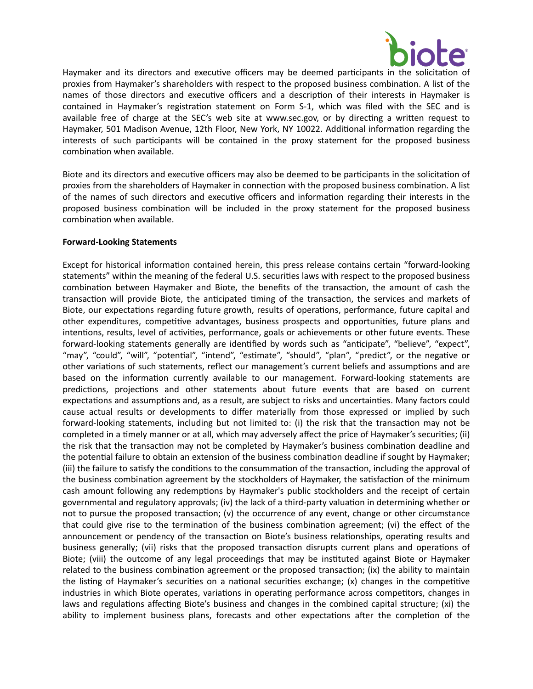

Haymaker and its directors and executive officers may be deemed participants in the solicitation of proxies from Haymaker's shareholders with respect to the proposed business combination. A list of the names of those directors and executive officers and a description of their interests in Haymaker is contained in Haymaker's registration statement on Form S-1, which was filed with the SEC and is available free of charge at the SEC's web site at www.sec.gov, or by directing a written request to Haymaker, 501 Madison Avenue, 12th Floor, New York, NY 10022. Additional information regarding the interests of such participants will be contained in the proxy statement for the proposed business combination when available.

Biote and its directors and executive officers may also be deemed to be participants in the solicitation of proxies from the shareholders of Haymaker in connection with the proposed business combination. A list of the names of such directors and executive officers and information regarding their interests in the proposed business combination will be included in the proxy statement for the proposed business combination when available.

## **Forward-Looking Statements**

Except for historical information contained herein, this press release contains certain "forward-looking statements" within the meaning of the federal U.S. securities laws with respect to the proposed business combination between Haymaker and Biote, the benefits of the transaction, the amount of cash the transaction will provide Biote, the anticipated timing of the transaction, the services and markets of Biote, our expectations regarding future growth, results of operations, performance, future capital and other expenditures, competitive advantages, business prospects and opportunities, future plans and intentions, results, level of activities, performance, goals or achievements or other future events. These forward-looking statements generally are identified by words such as "anticipate", "believe", "expect", "may", "could", "will", "potential", "intend", "estimate", "should", "plan", "predict", or the negative or other variations of such statements, reflect our management's current beliefs and assumptions and are based on the information currently available to our management. Forward-looking statements are predictions, projections and other statements about future events that are based on current expectations and assumptions and, as a result, are subject to risks and uncertainties. Many factors could cause actual results or developments to differ materially from those expressed or implied by such forward-looking statements, including but not limited to: (i) the risk that the transaction may not be completed in a timely manner or at all, which may adversely affect the price of Haymaker's securities; (ii) the risk that the transaction may not be completed by Haymaker's business combination deadline and the potential failure to obtain an extension of the business combination deadline if sought by Haymaker; (iii) the failure to satisfy the conditions to the consummation of the transaction, including the approval of the business combination agreement by the stockholders of Haymaker, the satisfaction of the minimum cash amount following any redemptions by Haymaker's public stockholders and the receipt of certain governmental and regulatory approvals; (iv) the lack of a third-party valuation in determining whether or not to pursue the proposed transaction; (v) the occurrence of any event, change or other circumstance that could give rise to the termination of the business combination agreement; (vi) the effect of the announcement or pendency of the transaction on Biote's business relationships, operating results and business generally; (vii) risks that the proposed transaction disrupts current plans and operations of Biote; (viii) the outcome of any legal proceedings that may be instituted against Biote or Haymaker related to the business combination agreement or the proposed transaction; (ix) the ability to maintain the listing of Haymaker's securities on a national securities exchange; (x) changes in the competitive industries in which Biote operates, variations in operating performance across competitors, changes in laws and regulations affecting Biote's business and changes in the combined capital structure; (xi) the ability to implement business plans, forecasts and other expectations after the completion of the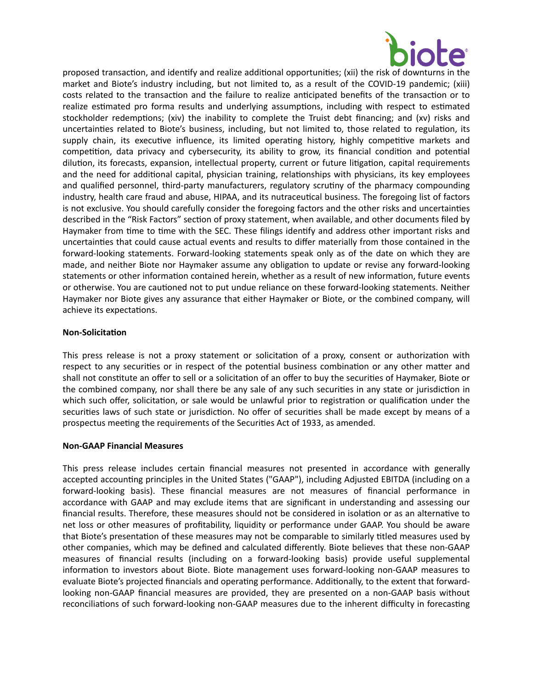

proposed transaction, and identify and realize additional opportunities; (xii) the risk of downturns in the market and Biote's industry including, but not limited to, as a result of the COVID-19 pandemic; (xiii) costs related to the transaction and the failure to realize anticipated benefits of the transaction or to realize estimated pro forma results and underlying assumptions, including with respect to estimated stockholder redemptions; (xiv) the inability to complete the Truist debt financing; and (xv) risks and uncertainties related to Biote's business, including, but not limited to, those related to regulation, its supply chain, its executive influence, its limited operating history, highly competitive markets and competition, data privacy and cybersecurity, its ability to grow, its financial condition and potential dilution, its forecasts, expansion, intellectual property, current or future litigation, capital requirements and the need for additional capital, physician training, relationships with physicians, its key employees and qualified personnel, third-party manufacturers, regulatory scrutiny of the pharmacy compounding industry, health care fraud and abuse, HIPAA, and its nutraceutical business. The foregoing list of factors is not exclusive. You should carefully consider the foregoing factors and the other risks and uncertainties described in the "Risk Factors" section of proxy statement, when available, and other documents filed by Haymaker from time to time with the SEC. These filings identify and address other important risks and uncertainties that could cause actual events and results to differ materially from those contained in the forward-looking statements. Forward-looking statements speak only as of the date on which they are made, and neither Biote nor Haymaker assume any obligation to update or revise any forward-looking statements or other information contained herein, whether as a result of new information, future events or otherwise. You are cautioned not to put undue reliance on these forward-looking statements. Neither Haymaker nor Biote gives any assurance that either Haymaker or Biote, or the combined company, will achieve its expectations.

## **Non-Solicitation**

This press release is not a proxy statement or solicitation of a proxy, consent or authorization with respect to any securities or in respect of the potential business combination or any other matter and shall not constitute an offer to sell or a solicitation of an offer to buy the securities of Haymaker, Biote or the combined company, nor shall there be any sale of any such securities in any state or jurisdiction in which such offer, solicitation, or sale would be unlawful prior to registration or qualification under the securities laws of such state or jurisdiction. No offer of securities shall be made except by means of a prospectus meeting the requirements of the Securities Act of 1933, as amended.

#### **Non-GAAP Financial Measures**

This press release includes certain financial measures not presented in accordance with generally accepted accounting principles in the United States ("GAAP"), including Adjusted EBITDA (including on a forward-looking basis). These financial measures are not measures of financial performance in accordance with GAAP and may exclude items that are significant in understanding and assessing our financial results. Therefore, these measures should not be considered in isolation or as an alternative to net loss or other measures of profitability, liquidity or performance under GAAP. You should be aware that Biote's presentation of these measures may not be comparable to similarly titled measures used by other companies, which may be defined and calculated differently. Biote believes that these non-GAAP measures of financial results (including on a forward-looking basis) provide useful supplemental information to investors about Biote. Biote management uses forward-looking non-GAAP measures to evaluate Biote's projected financials and operating performance. Additionally, to the extent that forwardlooking non-GAAP financial measures are provided, they are presented on a non-GAAP basis without reconciliations of such forward-looking non-GAAP measures due to the inherent difficulty in forecasting